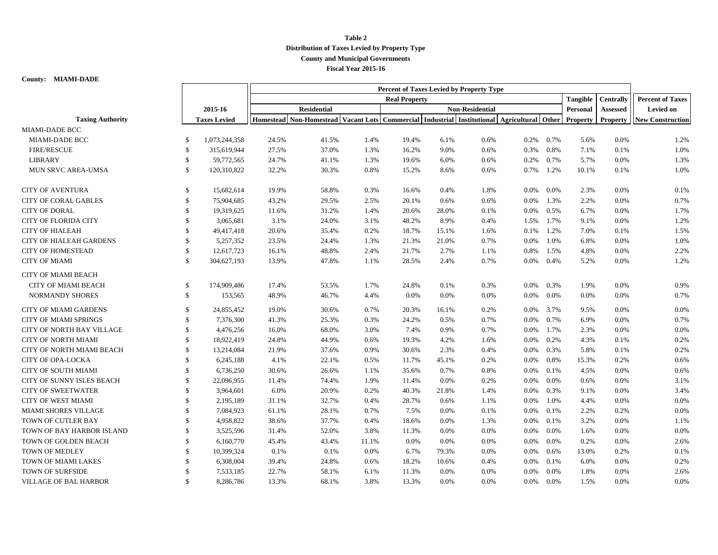## **Table 2 Distribution of Taxes Levied by Property Type County and Municipal Governments Fiscal Year 2015-16**

## **County: MIAMI-DADE**

|                                  |               |                     | Percent of Taxes Levied by Property Type |                                |       |                        |       |                                                       |                           |                         |                 |                 |                         |
|----------------------------------|---------------|---------------------|------------------------------------------|--------------------------------|-------|------------------------|-------|-------------------------------------------------------|---------------------------|-------------------------|-----------------|-----------------|-------------------------|
|                                  |               |                     |                                          |                                |       | <b>Real Property</b>   |       | <b>Tangible</b>                                       | <b>Centrally</b>          | <b>Percent of Taxes</b> |                 |                 |                         |
|                                  |               | 2015-16             | <b>Residential</b>                       |                                |       | <b>Non-Residential</b> |       |                                                       |                           |                         | Personal        | <b>Assessed</b> | <b>Levied on</b>        |
| <b>Taxing Authority</b>          |               | <b>Taxes Levied</b> |                                          | <b>Homestead</b> Non-Homestead |       |                        |       | Vacant Lots   Commercial   Industrial   Institutional | <b>Agricultural</b> Other |                         | <b>Property</b> | <b>Property</b> | <b>New Construction</b> |
| <b>MIAMI-DADE BCC</b>            |               |                     |                                          |                                |       |                        |       |                                                       |                           |                         |                 |                 |                         |
| MIAMI-DADE BCC                   | -S            | 1,073,244,358       | 24.5%                                    | 41.5%                          | 1.4%  | 19.4%                  | 6.1%  | 0.6%                                                  | 0.2%                      | 0.7%                    | 5.6%            | 0.0%            | 1.2%                    |
| <b>FIRE/RESCUE</b>               | $\mathcal{S}$ | 315,619,944         | 27.5%                                    | 37.0%                          | 1.3%  | 16.2%                  | 9.0%  | 0.6%                                                  | 0.3%                      | 0.8%                    | 7.1%            | 0.1%            | 1.0%                    |
| <b>LIBRARY</b>                   | $\mathbb{S}$  | 59,772,565          | 24.7%                                    | 41.1%                          | 1.3%  | 19.6%                  | 6.0%  | 0.6%                                                  | 0.2%                      | 0.7%                    | 5.7%            | 0.0%            | 1.3%                    |
| MUN SRVC AREA-UMSA               | $\mathbb{S}$  | 120,310,822         | 32.2%                                    | 30.3%                          | 0.8%  | 15.2%                  | 8.6%  | 0.6%                                                  | 0.7%                      | 1.2%                    | 10.1%           | 0.1%            | 1.0%                    |
| <b>CITY OF AVENTURA</b>          | \$            | 15,682,614          | 19.9%                                    | 58.8%                          | 0.3%  | 16.6%                  | 0.4%  | 1.8%                                                  | $0.0\%$                   | 0.0%                    | 2.3%            | 0.0%            | 0.1%                    |
| <b>CITY OF CORAL GABLES</b>      | \$            | 75,904,685          | 43.2%                                    | 29.5%                          | 2.5%  | 20.1%                  | 0.6%  | 0.6%                                                  | $0.0\%$                   | 1.3%                    | 2.2%            | 0.0%            | 0.7%                    |
| <b>CITY OF DORAL</b>             | $\mathbb{S}$  | 19,319,625          | 11.6%                                    | 31.2%                          | 1.4%  | 20.6%                  | 28.0% | 0.1%                                                  | $0.0\%$                   | 0.5%                    | 6.7%            | 0.0%            | 1.7%                    |
| <b>CITY OF FLORIDA CITY</b>      | \$            | 3,065,681           | 3.1%                                     | 24.0%                          | 3.1%  | 48.2%                  | 8.9%  | 0.4%                                                  | 1.5%                      | 1.7%                    | 9.1%            | 0.0%            | 1.2%                    |
| <b>CITY OF HIALEAH</b>           | <sup>\$</sup> | 49,417,418          | 20.6%                                    | 35.4%                          | 0.2%  | 18.7%                  | 15.1% | 1.6%                                                  | 0.1%                      | 1.2%                    | 7.0%            | 0.1%            | 1.5%                    |
| CITY OF HIALEAH GARDENS          | \$            | 5,257,352           | 23.5%                                    | 24.4%                          | 1.3%  | 21.3%                  | 21.0% | 0.7%                                                  | $0.0\%$                   | 1.0%                    | 6.8%            | 0.0%            | 1.0%                    |
| <b>CITY OF HOMESTEAD</b>         | \$            | 12,617,723          | 16.1%                                    | 48.8%                          | 2.4%  | 21.7%                  | 2.7%  | 1.1%                                                  | 0.8%                      | 1.5%                    | 4.8%            | 0.0%            | 2.2%                    |
| <b>CITY OF MIAMI</b>             | $\mathbb{S}$  | 304,627,193         | 13.9%                                    | 47.8%                          | 1.1%  | 28.5%                  | 2.4%  | 0.7%                                                  | 0.0%                      | 0.4%                    | 5.2%            | 0.0%            | 1.2%                    |
| <b>CITY OF MIAMI BEACH</b>       |               |                     |                                          |                                |       |                        |       |                                                       |                           |                         |                 |                 |                         |
| <b>CITY OF MIAMI BEACH</b>       | \$            | 174,909,486         | 17.4%                                    | 53.5%                          | 1.7%  | 24.8%                  | 0.1%  | 0.3%                                                  | 0.0%                      | 0.3%                    | 1.9%            | 0.0%            | 0.9%                    |
| <b>NORMANDY SHORES</b>           | $\mathbb{S}$  | 153,565             | 48.9%                                    | 46.7%                          | 4.4%  | 0.0%                   | 0.0%  | 0.0%                                                  | $0.0\%$                   | 0.0%                    | 0.0%            | 0.0%            | 0.7%                    |
| <b>CITY OF MIAMI GARDENS</b>     | <sup>\$</sup> | 24,855,452          | 19.0%                                    | 30.6%                          | 0.7%  | 20.3%                  | 16.1% | 0.2%                                                  | 0.0%                      | 3.7%                    | 9.5%            | 0.0%            | 0.0%                    |
| <b>CITY OF MIAMI SPRINGS</b>     | <sup>\$</sup> | 7,376,300           | 41.3%                                    | 25.3%                          | 0.3%  | 24.2%                  | 0.5%  | 0.7%                                                  | $0.0\%$                   | 0.7%                    | 6.9%            | 0.0%            | 0.7%                    |
| <b>CITY OF NORTH BAY VILLAGE</b> | \$            | 4,476,256           | 16.0%                                    | 68.0%                          | 3.0%  | 7.4%                   | 0.9%  | 0.7%                                                  | $0.0\%$                   | 1.7%                    | 2.3%            | 0.0%            | 0.0%                    |
| <b>CITY OF NORTH MIAMI</b>       | $\mathcal{S}$ | 18,922,419          | 24.8%                                    | 44.9%                          | 0.6%  | 19.3%                  | 4.2%  | 1.6%                                                  | $0.0\%$                   | 0.2%                    | 4.3%            | 0.1%            | 0.2%                    |
| CITY OF NORTH MIAMI BEACH        | \$            | 13,214,084          | 21.9%                                    | 37.6%                          | 0.9%  | 30.6%                  | 2.3%  | 0.4%                                                  | $0.0\%$                   | 0.3%                    | 5.8%            | 0.1%            | 0.2%                    |
| <b>CITY OF OPA-LOCKA</b>         | \$            | 6,245,188           | 4.1%                                     | 22.1%                          | 0.5%  | 11.7%                  | 45.1% | 0.2%                                                  | 0.0%                      | 0.8%                    | 15.3%           | 0.2%            | 0.6%                    |
| <b>CITY OF SOUTH MIAMI</b>       | \$            | 6,736,250           | 30.6%                                    | 26.6%                          | 1.1%  | 35.6%                  | 0.7%  | 0.8%                                                  | $0.0\%$                   | 0.1%                    | 4.5%            | $0.0\%$         | 0.6%                    |
| <b>CITY OF SUNNY ISLES BEACH</b> | \$            | 22,096,955          | 11.4%                                    | 74.4%                          | 1.9%  | 11.4%                  | 0.0%  | 0.2%                                                  | $0.0\%$                   | 0.0%                    | 0.6%            | 0.0%            | 3.1%                    |
| <b>CITY OF SWEETWATER</b>        | S             | 3,964,601           | 6.0%                                     | 20.9%                          | 0.2%  | 40.3%                  | 21.8% | 1.4%                                                  | $0.0\%$                   | 0.3%                    | 9.1%            | 0.0%            | 3.4%                    |
| <b>CITY OF WEST MIAMI</b>        | \$            | 2,195,189           | 31.1%                                    | 32.7%                          | 0.4%  | 28.7%                  | 0.6%  | 1.1%                                                  | 0.0%                      | 1.0%                    | 4.4%            | 0.0%            | 0.0%                    |
| <b>MIAMI SHORES VILLAGE</b>      | \$            | 7,084,923           | 61.1%                                    | 28.1%                          | 0.7%  | 7.5%                   | 0.0%  | 0.1%                                                  | 0.0%                      | 0.1%                    | 2.2%            | 0.2%            | 0.0%                    |
| TOWN OF CUTLER BAY               | <sup>\$</sup> | 4,958,822           | 38.6%                                    | 37.7%                          | 0.4%  | 18.6%                  | 0.0%  | 1.3%                                                  | $0.0\%$                   | 0.1%                    | 3.2%            | 0.0%            | 1.1%                    |
| TOWN OF BAY HARBOR ISLAND        | \$            | 3,525,596           | 31.4%                                    | 52.0%                          | 3.8%  | 11.3%                  | 0.0%  | 0.0%                                                  | 0.0%                      | 0.0%                    | 1.6%            | 0.0%            | 0.0%                    |
| TOWN OF GOLDEN BEACH             | \$            | 6,160,770           | 45.4%                                    | 43.4%                          | 11.1% | 0.0%                   | 0.0%  | 0.0%                                                  | $0.0\%$                   | 0.0%                    | 0.2%            | 0.0%            | 2.6%                    |
| TOWN OF MEDLEY                   | \$            | 10,399,324          | 0.1%                                     | 0.1%                           | 0.0%  | 6.7%                   | 79.3% | 0.0%                                                  | $0.0\%$                   | 0.6%                    | 13.0%           | 0.2%            | 0.1%                    |
| TOWN OF MIAMI LAKES              | \$            | 6,308,004           | 39.4%                                    | 24.8%                          | 0.6%  | 18.2%                  | 10.6% | 0.4%                                                  | $0.0\%$                   | 0.1%                    | 6.0%            | 0.0%            | 0.2%                    |
| TOWN OF SURFSIDE                 | S             | 7,533,185           | 22.7%                                    | 58.1%                          | 6.1%  | 11.3%                  | 0.0%  | 0.0%                                                  | 0.0%                      | 0.0%                    | 1.8%            | 0.0%            | 2.6%                    |
| <b>VILLAGE OF BAL HARBOR</b>     | \$            | 8,286,786           | 13.3%                                    | 68.1%                          | 3.8%  | 13.3%                  | 0.0%  | 0.0%                                                  | $0.0\%$                   | 0.0%                    | 1.5%            | 0.0%            | 0.0%                    |